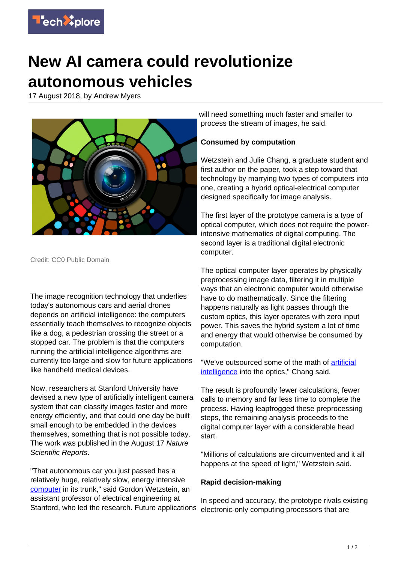

## **New AI camera could revolutionize autonomous vehicles**

17 August 2018, by Andrew Myers



Credit: CC0 Public Domain

The image recognition technology that underlies today's autonomous cars and aerial drones depends on artificial intelligence: the computers essentially teach themselves to recognize objects like a dog, a pedestrian crossing the street or a stopped car. The problem is that the computers running the artificial intelligence algorithms are currently too large and slow for future applications like handheld medical devices.

Now, researchers at Stanford University have devised a new type of artificially intelligent camera system that can classify images faster and more energy efficiently, and that could one day be built small enough to be embedded in the devices themselves, something that is not possible today. The work was published in the August 17 Nature Scientific Reports.

"That autonomous car you just passed has a relatively huge, relatively slow, energy intensive [computer](https://techxplore.com/tags/computer/) in its trunk," said Gordon Wetzstein, an assistant professor of electrical engineering at Stanford, who led the research. Future applications

will need something much faster and smaller to process the stream of images, he said.

## **Consumed by computation**

Wetzstein and Julie Chang, a graduate student and first author on the paper, took a step toward that technology by marrying two types of computers into one, creating a hybrid optical-electrical computer designed specifically for image analysis.

The first layer of the prototype camera is a type of optical computer, which does not require the powerintensive mathematics of digital computing. The second layer is a traditional digital electronic computer.

The optical computer layer operates by physically preprocessing image data, filtering it in multiple ways that an electronic computer would otherwise have to do mathematically. Since the filtering happens naturally as light passes through the custom optics, this layer operates with zero input power. This saves the hybrid system a lot of time and energy that would otherwise be consumed by computation.

"We've outsourced some of the math of [artificial](https://techxplore.com/tags/artificial+intelligence/) [intelligence](https://techxplore.com/tags/artificial+intelligence/) into the optics," Chang said.

The result is profoundly fewer calculations, fewer calls to memory and far less time to complete the process. Having leapfrogged these preprocessing steps, the remaining analysis proceeds to the digital computer layer with a considerable head start.

"Millions of calculations are circumvented and it all happens at the speed of light," Wetzstein said.

## **Rapid decision-making**

In speed and accuracy, the prototype rivals existing electronic-only computing processors that are